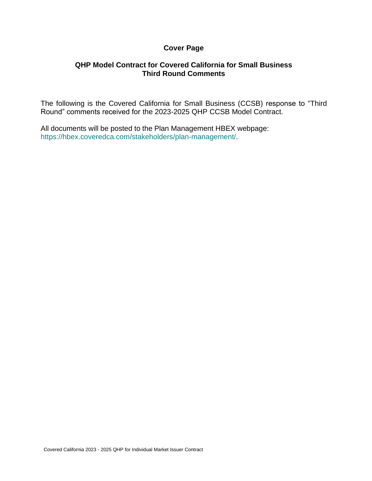## **Cover Page**

## **QHP Model Contract for Covered California for Small Business Third Round Comments**

The following is the Covered California for Small Business (CCSB) response to "Third Round" comments received for the 2023-2025 QHP CCSB Model Contract.

All documents will be posted to the Plan Management HBEX webpage: https://hbex.coveredca.com/stakeholders/plan-management/.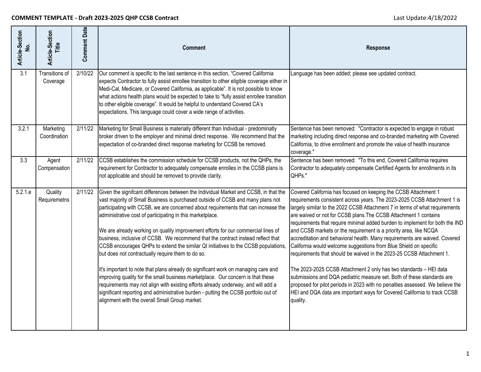| Article-Section<br><u>ó</u> | Article-Section<br>Title   | <b>Comment Date</b> | <b>Comment</b>                                                                                                                                                                                                                                                                                                                                                                                                                                                                                                                                                                                                                                                                                                                                                                                                                                                                                                                                                                                                                                        | <b>Response</b>                                                                                                                                                                                                                                                                                                                                                                                                                                                                                                                                                                                                                                                                                                                                                                                                                                                                                                                                                                                        |
|-----------------------------|----------------------------|---------------------|-------------------------------------------------------------------------------------------------------------------------------------------------------------------------------------------------------------------------------------------------------------------------------------------------------------------------------------------------------------------------------------------------------------------------------------------------------------------------------------------------------------------------------------------------------------------------------------------------------------------------------------------------------------------------------------------------------------------------------------------------------------------------------------------------------------------------------------------------------------------------------------------------------------------------------------------------------------------------------------------------------------------------------------------------------|--------------------------------------------------------------------------------------------------------------------------------------------------------------------------------------------------------------------------------------------------------------------------------------------------------------------------------------------------------------------------------------------------------------------------------------------------------------------------------------------------------------------------------------------------------------------------------------------------------------------------------------------------------------------------------------------------------------------------------------------------------------------------------------------------------------------------------------------------------------------------------------------------------------------------------------------------------------------------------------------------------|
| $\overline{3.1}$            | Transitions of<br>Coverage | 2/10/22             | Our comment is specific to the last sentence in this section, "Covered California<br>expects Contractor to fully assist enrollee transition to other eligible coverage either in<br>Medi-Cal, Medicare, or Covered California, as applicable". It is not possible to know<br>what actions health plans would be expected to take to "fully assist enrollee transition<br>to other eligible coverage". It would be helpful to understand Covered CA's<br>expectations. This language could cover a wide range of activities.                                                                                                                                                                                                                                                                                                                                                                                                                                                                                                                           | Language has been added; please see updated contract.                                                                                                                                                                                                                                                                                                                                                                                                                                                                                                                                                                                                                                                                                                                                                                                                                                                                                                                                                  |
| 3.2.1                       | Marketing<br>Coordination  | 2/11/22             | Marketing for Small Business is materially different than Individual - predominatly<br>broker driven to the employer and minimal direct response. We recommend that the<br>expectation of co-branded direct response marketing for CCSB be removed.                                                                                                                                                                                                                                                                                                                                                                                                                                                                                                                                                                                                                                                                                                                                                                                                   | Sentence has been removed: "Contractor is expected to engage in robust<br>marketing including direct response and co-branded marketing with Covered<br>California, to drive enrollment and promote the value of health insurance<br>coverage."                                                                                                                                                                                                                                                                                                                                                                                                                                                                                                                                                                                                                                                                                                                                                         |
| 3.3                         | Agent<br>Compensation      | 2/11/22             | CCSB establishes the commission schedule for CCSB products, not the QHPs, the<br>requirement for Contractor to adequately compensate enrolles in the CCSB plans is<br>not applicable and should be removed to provide clarity.                                                                                                                                                                                                                                                                                                                                                                                                                                                                                                                                                                                                                                                                                                                                                                                                                        | Sentence has been removed: "To this end, Covered California requires<br>Contractor to adequately compensate Certified Agents for enrollments in its<br>QHPs."                                                                                                                                                                                                                                                                                                                                                                                                                                                                                                                                                                                                                                                                                                                                                                                                                                          |
| 5.2.1.e                     | Quality<br>Requiremetns    | 2/11/22             | Given the signifcant differences between the Individual Market and CCSB, in that the<br>vast majority of Small Business is purchased outside of CCSB and many plans not<br>participating with CCSB, we are concerned about requirements that can increase the<br>administrative cost of participating in this marketplace.<br>We are already working on quality improvement efforts for our commercial lines of<br>business, inclusive of CCSB. We recommend that the contract instead reflect that<br>CCSB encourages QHPs to extend the similar QI initiatives to the CCSB populations,<br>but does not contractually require them to do so.<br>It's important to note that plans already do significant work on managing care and<br>improving quality for the small business marketplace. Our concern is that these<br>requirements may not align with existing efforts already underway, and will add a<br>significant reporting and administrative burden - putting the CCSB portfolio out of<br>alignment with the overall Small Group market. | Covered California has focused on keeping the CCSB Attachment 1<br>requirements consistent across years. The 2023-2025 CCSB Attachment 1 is<br>largely similar to the 2022 CCSB Attachment 7 in terms of what requirements<br>are waived or not for CCSB plans. The CCSB Attachment 1 contains<br>requirements that require minimal added burden to implement for both the IND<br>and CCSB markets or the requirement is a priority area, like NCQA<br>accreditation and behavioral health. Many requirements are waived. Covered<br>California would welcome suggestions from Blue Shield on specific<br>requirements that should be waived in the 2023-25 CCSB Attachment 1.<br>The 2023-2025 CCSB Attachment 2 only has two standards - HEI data<br>submissions and DQA pediatric measure set. Both of these standards are<br>proposed for pilot periods in 2023 with no penalties assessed. We believe the<br>HEI and DQA data are important ways for Covered California to track CCSB<br>quality. |